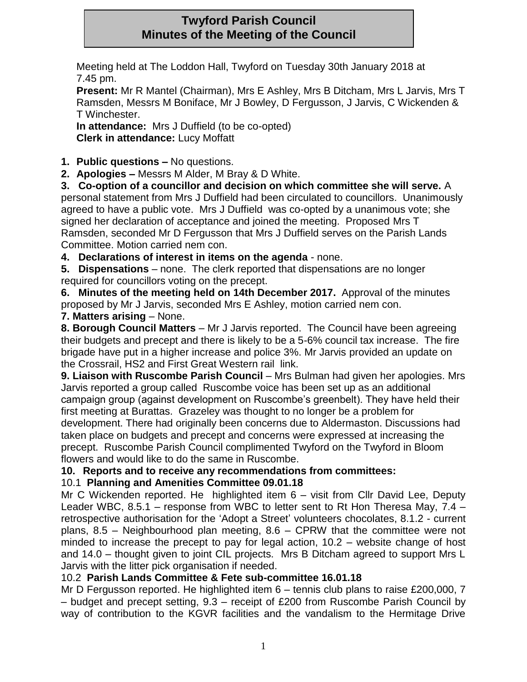# **Twyford Parish Council Minutes of the Meeting of the Council**

Meeting held at The Loddon Hall, Twyford on Tuesday 30th January 2018 at 7.45 pm.

**Present:** Mr R Mantel (Chairman), Mrs E Ashley, Mrs B Ditcham, Mrs L Jarvis, Mrs T Ramsden, Messrs M Boniface, Mr J Bowley, D Fergusson, J Jarvis, C Wickenden & T Winchester.

**In attendance:** Mrs J Duffield (to be co-opted) **Clerk in attendance:** Lucy Moffatt

**1. Public questions –** No questions.

**2. Apologies –** Messrs M Alder, M Bray & D White.

**3. Co-option of a councillor and decision on which committee she will serve.** A personal statement from Mrs J Duffield had been circulated to councillors. Unanimously agreed to have a public vote. Mrs J Duffield was co-opted by a unanimous vote; she signed her declaration of acceptance and joined the meeting. Proposed Mrs T Ramsden, seconded Mr D Fergusson that Mrs J Duffield serves on the Parish Lands Committee. Motion carried nem con.

**4. Declarations of interest in items on the agenda** - none.

**5. Dispensations** – none. The clerk reported that dispensations are no longer required for councillors voting on the precept.

**6. Minutes of the meeting held on 14th December 2017.** Approval of the minutes proposed by Mr J Jarvis, seconded Mrs E Ashley, motion carried nem con.

## **7. Matters arising** – None.

**8. Borough Council Matters** – Mr J Jarvis reported. The Council have been agreeing their budgets and precept and there is likely to be a 5-6% council tax increase. The fire brigade have put in a higher increase and police 3%. Mr Jarvis provided an update on the Crossrail, HS2 and First Great Western rail link.

**9. Liaison with Ruscombe Parish Council** – Mrs Bulman had given her apologies. Mrs Jarvis reported a group called Ruscombe voice has been set up as an additional campaign group (against development on Ruscombe's greenbelt). They have held their first meeting at Burattas. Grazeley was thought to no longer be a problem for development. There had originally been concerns due to Aldermaston. Discussions had taken place on budgets and precept and concerns were expressed at increasing the precept. Ruscombe Parish Council complimented Twyford on the Twyford in Bloom flowers and would like to do the same in Ruscombe.

**10. Reports and to receive any recommendations from committees:**

## 10.1 **Planning and Amenities Committee 09.01.18**

Mr C Wickenden reported. He highlighted item 6 – visit from Cllr David Lee, Deputy Leader WBC, 8.5.1 – response from WBC to letter sent to Rt Hon Theresa May, 7.4 – retrospective authorisation for the 'Adopt a Street' volunteers chocolates, 8.1.2 - current plans, 8.5 – Neighbourhood plan meeting, 8.6 – CPRW that the committee were not minded to increase the precept to pay for legal action, 10.2 – website change of host and 14.0 – thought given to joint CIL projects. Mrs B Ditcham agreed to support Mrs L Jarvis with the litter pick organisation if needed.

## 10.2 **Parish Lands Committee & Fete sub-committee 16.01.18**

Mr D Fergusson reported. He highlighted item 6 – tennis club plans to raise £200,000, 7 – budget and precept setting, 9.3 – receipt of £200 from Ruscombe Parish Council by way of contribution to the KGVR facilities and the vandalism to the Hermitage Drive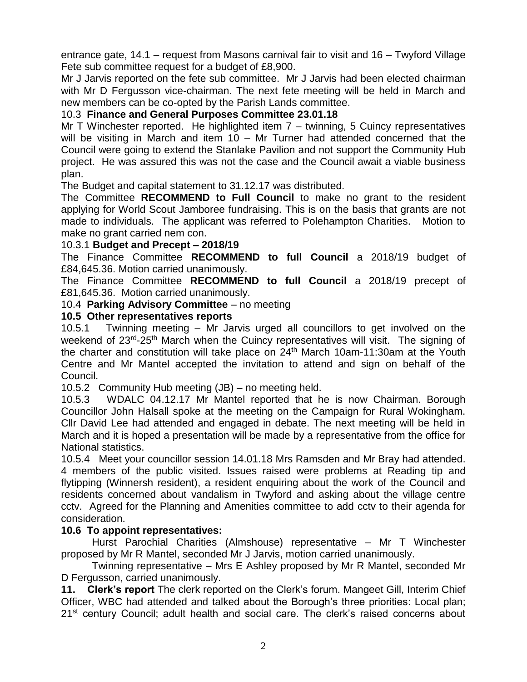entrance gate, 14.1 – request from Masons carnival fair to visit and 16 – Twyford Village Fete sub committee request for a budget of £8,900.

Mr J Jarvis reported on the fete sub committee. Mr J Jarvis had been elected chairman with Mr D Fergusson vice-chairman. The next fete meeting will be held in March and new members can be co-opted by the Parish Lands committee.

## 10.3 **Finance and General Purposes Committee 23.01.18**

Mr T Winchester reported. He highlighted item 7 – twinning, 5 Cuincy representatives will be visiting in March and item 10 – Mr Turner had attended concerned that the Council were going to extend the Stanlake Pavilion and not support the Community Hub project. He was assured this was not the case and the Council await a viable business plan.

The Budget and capital statement to 31.12.17 was distributed.

The Committee **RECOMMEND to Full Council** to make no grant to the resident applying for World Scout Jamboree fundraising. This is on the basis that grants are not made to individuals. The applicant was referred to Polehampton Charities. Motion to make no grant carried nem con.

#### 10.3.1 **Budget and Precept – 2018/19**

The Finance Committee **RECOMMEND to full Council** a 2018/19 budget of £84,645.36. Motion carried unanimously.

The Finance Committee **RECOMMEND to full Council** a 2018/19 precept of £81,645.36. Motion carried unanimously.

#### 10.4 **Parking Advisory Committee** – no meeting

#### **10.5 Other representatives reports**

10.5.1 Twinning meeting – Mr Jarvis urged all councillors to get involved on the weekend of 23<sup>rd</sup>-25<sup>th</sup> March when the Cuincy representatives will visit. The signing of the charter and constitution will take place on 24th March 10am-11:30am at the Youth Centre and Mr Mantel accepted the invitation to attend and sign on behalf of the Council.

10.5.2 Community Hub meeting (JB) – no meeting held.

10.5.3 WDALC 04.12.17 Mr Mantel reported that he is now Chairman. Borough Councillor John Halsall spoke at the meeting on the Campaign for Rural Wokingham. Cllr David Lee had attended and engaged in debate. The next meeting will be held in March and it is hoped a presentation will be made by a representative from the office for National statistics.

10.5.4 Meet your councillor session 14.01.18 Mrs Ramsden and Mr Bray had attended. 4 members of the public visited. Issues raised were problems at Reading tip and flytipping (Winnersh resident), a resident enquiring about the work of the Council and residents concerned about vandalism in Twyford and asking about the village centre cctv. Agreed for the Planning and Amenities committee to add cctv to their agenda for consideration.

### **10.6 To appoint representatives:**

Hurst Parochial Charities (Almshouse) representative – Mr T Winchester proposed by Mr R Mantel, seconded Mr J Jarvis, motion carried unanimously.

Twinning representative – Mrs E Ashley proposed by Mr R Mantel, seconded Mr D Fergusson, carried unanimously.

**11. Clerk's report** The clerk reported on the Clerk's forum. Mangeet Gill, Interim Chief Officer, WBC had attended and talked about the Borough's three priorities: Local plan; 21<sup>st</sup> century Council; adult health and social care. The clerk's raised concerns about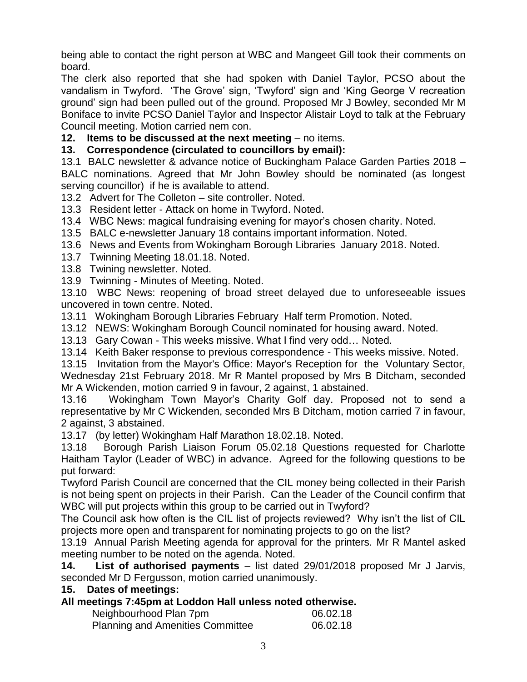being able to contact the right person at WBC and Mangeet Gill took their comments on board.

The clerk also reported that she had spoken with Daniel Taylor, PCSO about the vandalism in Twyford. 'The Grove' sign, 'Twyford' sign and 'King George V recreation ground' sign had been pulled out of the ground. Proposed Mr J Bowley, seconded Mr M Boniface to invite PCSO Daniel Taylor and Inspector Alistair Loyd to talk at the February Council meeting. Motion carried nem con.

**12. Items to be discussed at the next meeting – no items.** 

#### **13. Correspondence (circulated to councillors by email):**

13.1 BALC newsletter & advance notice of Buckingham Palace Garden Parties 2018 – BALC nominations. Agreed that Mr John Bowley should be nominated (as longest serving councillor) if he is available to attend.

13.2 Advert for The Colleton – site controller. Noted.

13.3 Resident letter - Attack on home in Twyford. Noted.

13.4 WBC News: magical fundraising evening for mayor's chosen charity. Noted.

13.5 BALC e-newsletter January 18 contains important information. Noted.

13.6 News and Events from Wokingham Borough Libraries January 2018. Noted.

13.7 Twinning Meeting 18.01.18. Noted.

13.8 Twining newsletter. Noted.

13.9 Twinning - Minutes of Meeting. Noted.

13.10 WBC News: reopening of broad street delayed due to unforeseeable issues uncovered in town centre. Noted.

13.11 Wokingham Borough Libraries February Half term Promotion. Noted.

13.12 NEWS: Wokingham Borough Council nominated for housing award. Noted.

13.13 Gary Cowan - This weeks missive. What I find very odd… Noted.

13.14 Keith Baker response to previous correspondence - This weeks missive. Noted.

13.15 Invitation from the Mayor's Office: Mayor's Reception for the Voluntary Sector, Wednesday 21st February 2018. Mr R Mantel proposed by Mrs B Ditcham, seconded Mr A Wickenden, motion carried 9 in favour, 2 against, 1 abstained.

13.16 Wokingham Town Mayor's Charity Golf day. Proposed not to send a representative by Mr C Wickenden, seconded Mrs B Ditcham, motion carried 7 in favour, 2 against, 3 abstained.

13.17 (by letter) Wokingham Half Marathon 18.02.18. Noted.

13.18 Borough Parish Liaison Forum 05.02.18 Questions requested for Charlotte Haitham Taylor (Leader of WBC) in advance. Agreed for the following questions to be put forward:

Twyford Parish Council are concerned that the CIL money being collected in their Parish is not being spent on projects in their Parish. Can the Leader of the Council confirm that WBC will put projects within this group to be carried out in Twyford?

The Council ask how often is the CIL list of projects reviewed? Why isn't the list of CIL projects more open and transparent for nominating projects to go on the list?

13.19 Annual Parish Meeting agenda for approval for the printers. Mr R Mantel asked meeting number to be noted on the agenda. Noted.

**14. List of authorised payments** – list dated 29/01/2018 proposed Mr J Jarvis, seconded Mr D Fergusson, motion carried unanimously.

**15. Dates of meetings:**

### **All meetings 7:45pm at Loddon Hall unless noted otherwise.**

| Neighbourhood Plan 7pm                  | 06.02.18 |
|-----------------------------------------|----------|
| <b>Planning and Amenities Committee</b> | 06.02.18 |